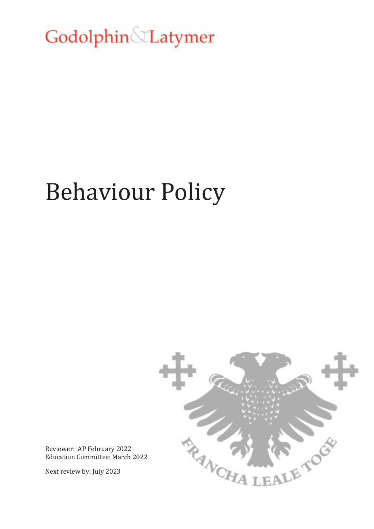Godolphin Latymer

# Behaviour Policy



Reviewer: AP February 2022 Education Committee: March 2022

Next review by: July 2023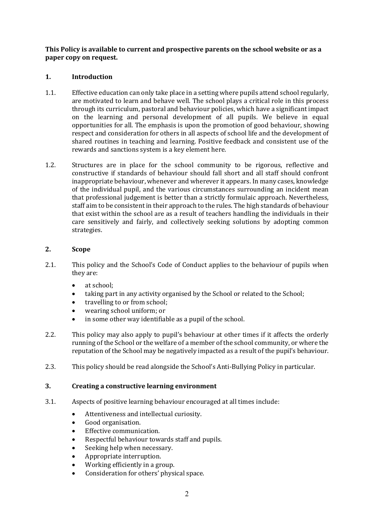**This Policy is available to current and prospective parents on the school website or as a paper copy on request.**

### **1. Introduction**

- 1.1. Effective education can only take place in a setting where pupils attend school regularly, are motivated to learn and behave well. The school plays a critical role in this process through its curriculum, pastoral and behaviour policies, which have a significant impact on the learning and personal development of all pupils. We believe in equal opportunities for all. The emphasis is upon the promotion of good behaviour, showing respect and consideration for others in all aspects of school life and the development of shared routines in teaching and learning. Positive feedback and consistent use of the rewards and sanctions system is a key element here.
- 1.2. Structures are in place for the school community to be rigorous, reflective and constructive if standards of behaviour should fall short and all staff should confront inappropriate behaviour, whenever and wherever it appears. In many cases, knowledge of the individual pupil, and the various circumstances surrounding an incident mean that professional judgement is better than a strictly formulaic approach. Nevertheless, staff aim to be consistent in their approach to the rules. The high standards of behaviour that exist within the school are as a result of teachers handling the individuals in their care sensitively and fairly, and collectively seeking solutions by adopting common strategies.

#### **2. Scope**

- 2.1. This policy and the School's Code of Conduct applies to the behaviour of pupils when they are:
	- at school:
	- taking part in any activity organised by the School or related to the School;
	- travelling to or from school;
	- wearing school uniform; or
	- in some other way identifiable as a pupil of the school.
- 2.2. This policy may also apply to pupil's behaviour at other times if it affects the orderly running of the School or the welfare of a member of the school community, or where the reputation of the School may be negatively impacted as a result of the pupil's behaviour.
- 2.3. This policy should be read alongside the School's Anti-Bullying Policy in particular.

#### **3. Creating a constructive learning environment**

- 3.1. Aspects of positive learning behaviour encouraged at all times include:
	- Attentiveness and intellectual curiosity.
	- Good organisation.
	- Effective communication.
	- Respectful behaviour towards staff and pupils.
	- Seeking help when necessary.
	- Appropriate interruption.
	- Working efficiently in a group.
	- Consideration for others' physical space.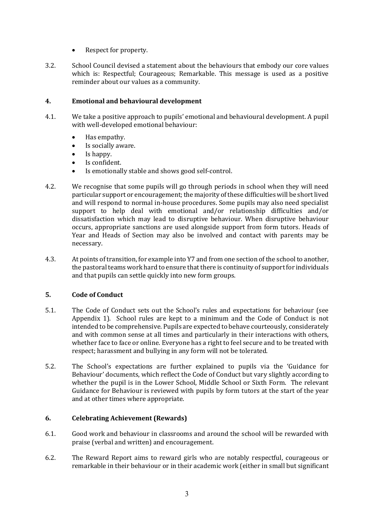- Respect for property.
- 3.2. School Council devised a statement about the behaviours that embody our core values which is: Respectful; Courageous; Remarkable. This message is used as a positive reminder about our values as a community.

### **4. Emotional and behavioural development**

- 4.1. We take a positive approach to pupils' emotional and behavioural development. A pupil with well-developed emotional behaviour:
	- Has empathy.
	- Is socially aware.
	- Is happy.
	- Is confident.
	- Is emotionally stable and shows good self-control.
- 4.2. We recognise that some pupils will go through periods in school when they will need particular support or encouragement; the majority of these difficulties will be short lived and will respond to normal in-house procedures. Some pupils may also need specialist support to help deal with emotional and/or relationship difficulties and/or dissatisfaction which may lead to disruptive behaviour. When disruptive behaviour occurs, appropriate sanctions are used alongside support from form tutors. Heads of Year and Heads of Section may also be involved and contact with parents may be necessary.
- 4.3. At points of transition, for example into Y7 and from one section of the school to another, the pastoral teams work hard to ensure that there is continuity of support for individuals and that pupils can settle quickly into new form groups.

#### **5. Code of Conduct**

- 5.1. The Code of Conduct sets out the School's rules and expectations for behaviour (see Appendix 1). School rules are kept to a minimum and the Code of Conduct is not intended to be comprehensive. Pupils are expected to behave courteously, considerately and with common sense at all times and particularly in their interactions with others, whether face to face or online. Everyone has a right to feel secure and to be treated with respect; harassment and bullying in any form will not be tolerated.
- 5.2. The School's expectations are further explained to pupils via the 'Guidance for Behaviour' documents, which reflect the Code of Conduct but vary slightly according to whether the pupil is in the Lower School, Middle School or Sixth Form. The relevant Guidance for Behaviour is reviewed with pupils by form tutors at the start of the year and at other times where appropriate.

#### **6. Celebrating Achievement (Rewards)**

- 6.1. Good work and behaviour in classrooms and around the school will be rewarded with praise (verbal and written) and encouragement.
- 6.2. The Reward Report aims to reward girls who are notably respectful, courageous or remarkable in their behaviour or in their academic work (either in small but significant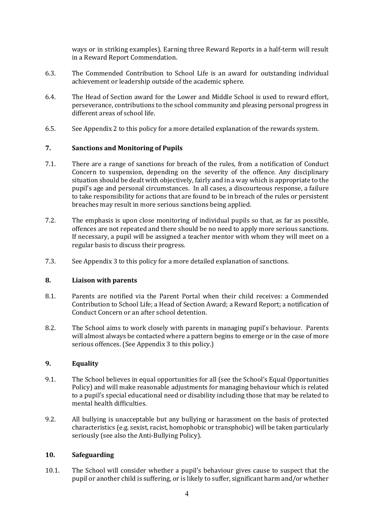ways or in striking examples). Earning three Reward Reports in a half-term will result in a Reward Report Commendation.

- 6.3. The Commended Contribution to School Life is an award for outstanding individual achievement or leadership outside of the academic sphere.
- 6.4. The Head of Section award for the Lower and Middle School is used to reward effort, perseverance, contributions to the school community and pleasing personal progress in different areas of school life.
- 6.5. See Appendix 2 to this policy for a more detailed explanation of the rewards system.

#### **7. Sanctions and Monitoring of Pupils**

- 7.1. There are a range of sanctions for breach of the rules, from a notification of Conduct Concern to suspension, depending on the severity of the offence. Any disciplinary situation should be dealt with objectively, fairly and in a way which is appropriate to the pupil's age and personal circumstances. In all cases, a discourteous response, a failure to take responsibility for actions that are found to be in breach of the rules or persistent breaches may result in more serious sanctions being applied.
- 7.2. The emphasis is upon close monitoring of individual pupils so that, as far as possible, offences are not repeated and there should be no need to apply more serious sanctions. If necessary, a pupil will be assigned a teacher mentor with whom they will meet on a regular basis to discuss their progress.
- 7.3. See Appendix 3 to this policy for a more detailed explanation of sanctions.

#### **8. Liaison with parents**

- 8.1. Parents are notified via the Parent Portal when their child receives: a Commended Contribution to School Life; a Head of Section Award; a Reward Report; a notification of Conduct Concern or an after school detention.
- 8.2. The School aims to work closely with parents in managing pupil's behaviour. Parents will almost always be contacted where a pattern begins to emerge or in the case of more serious offences. (See Appendix 3 to this policy.)

#### **9. Equality**

- 9.1. The School believes in equal opportunities for all (see the School's Equal Opportunities Policy) and will make reasonable adjustments for managing behaviour which is related to a pupil's special educational need or disability including those that may be related to mental health difficulties.
- 9.2. All bullying is unacceptable but any bullying or harassment on the basis of protected characteristics (e.g. sexist, racist, homophobic or transphobic) will be taken particularly seriously (see also the Anti-Bullying Policy).

#### **10. Safeguarding**

10.1. The School will consider whether a pupil's behaviour gives cause to suspect that the pupil or another child is suffering, or is likely to suffer, significant harm and/or whether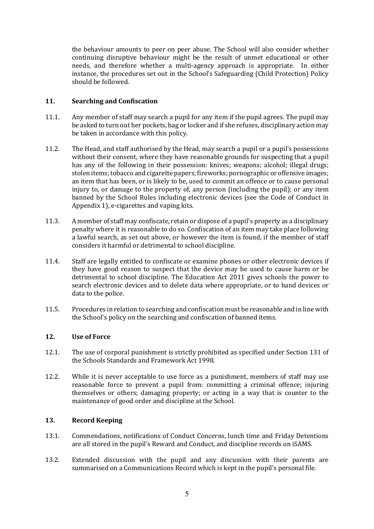the behaviour amounts to peer on peer abuse. The School will also consider whether continuing disruptive behaviour might be the result of unmet educational or other needs, and therefore whether a multi-agency approach is appropriate. In either instance, the procedures set out in the School's Safeguarding (Child Protection) Policy should be followed.

#### **11. Searching and Confiscation**

- 11.1. Any member of staff may search a pupil for any item if the pupil agrees. The pupil may be asked to turn out her pockets, bag or locker and if she refuses, disciplinary action may be taken in accordance with this policy.
- 11.2. The Head, and staff authorised by the Head, may search a pupil or a pupil's possessions without their consent, where they have reasonable grounds for suspecting that a pupil has any of the following in their possession: knives; weapons; alcohol; illegal drugs; stolen items; tobacco and cigarette papers; fireworks; pornographic or offensive images; an item that has been, or is likely to be, used to commit an offence or to cause personal injury to, or damage to the property of, any person (including the pupil); or any item banned by the School Rules including electronic devices (see the Code of Conduct in Appendix 1), e-cigarettes and vaping kits.
- 11.3. A member of staff may confiscate, retain or dispose of a pupil's property as a disciplinary penalty where it is reasonable to do so. Confiscation of an item may take place following a lawful search, as set out above, or however the item is found, if the member of staff considers it harmful or detrimental to school discipline.
- 11.4. Staff are legally entitled to confiscate or examine phones or other electronic devices if they have good reason to suspect that the device may be used to cause harm or be detrimental to school discipline. The Education Act 2011 gives schools the power to search electronic devices and to delete data where appropriate, or to hand devices or data to the police.
- 11.5. Procedures in relation to searching and confiscation must be reasonable and in line with the School's policy on the searching and confiscation of banned items.

#### **12. Use of Force**

- 12.1. The use of corporal punishment is strictly prohibited as specified under Section 131 of the Schools Standards and Framework Act 1998.
- 12.2. While it is never acceptable to use force as a punishment, members of staff may use reasonable force to prevent a pupil from: committing a criminal offence; injuring themselves or others; damaging property; or acting in a way that is counter to the maintenance of good order and discipline at the School.

#### **13. Record Keeping**

- 13.1. Commendations, notifications of Conduct Concerns, lunch time and Friday Detentions are all stored in the pupil's Reward and Conduct, and discipline records on iSAMS.
- 13.2. Extended discussion with the pupil and any discussion with their parents are summarised on a Communications Record which is kept in the pupil's personal file.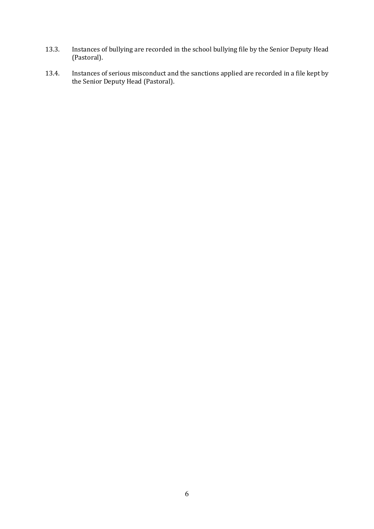- 13.3. Instances of bullying are recorded in the school bullying file by the Senior Deputy Head (Pastoral).
- 13.4. Instances of serious misconduct and the sanctions applied are recorded in a file kept by the Senior Deputy Head (Pastoral).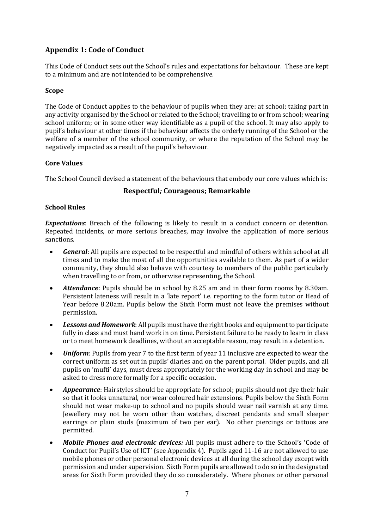# **Appendix 1: Code of Conduct**

This Code of Conduct sets out the School's rules and expectations for behaviour. These are kept to a minimum and are not intended to be comprehensive.

#### **Scope**

The Code of Conduct applies to the behaviour of pupils when they are: at school; taking part in any activity organised by the School or related to the School; travelling to or from school; wearing school uniform; or in some other way identifiable as a pupil of the school. It may also apply to pupil's behaviour at other times if the behaviour affects the orderly running of the School or the welfare of a member of the school community, or where the reputation of the School may be negatively impacted as a result of the pupil's behaviour.

#### **Core Values**

The School Council devised a statement of the behaviours that embody our core values which is:

## **Respectful***;* **Courageous; Remarkable**

#### **School Rules**

*Expectations*: Breach of the following is likely to result in a conduct concern or detention. Repeated incidents, or more serious breaches, may involve the application of more serious sanctions.

- *General*: All pupils are expected to be respectful and mindful of others within school at all times and to make the most of all the opportunities available to them. As part of a wider community, they should also behave with courtesy to members of the public particularly when travelling to or from, or otherwise representing, the School.
- *Attendance*: Pupils should be in school by 8.25 am and in their form rooms by 8.30am. Persistent lateness will result in a 'late report' i.e. reporting to the form tutor or Head of Year before 8.20am. Pupils below the Sixth Form must not leave the premises without permission.
- *Lessons and Homework*: All pupils must have the right books and equipment to participate fully in class and must hand work in on time. Persistent failure to be ready to learn in class or to meet homework deadlines, without an acceptable reason, may result in a detention.
- *Uniform*: Pupils from year 7 to the first term of year 11 inclusive are expected to wear the correct uniform as set out in pupils' diaries and on the parent portal. Older pupils, and all pupils on 'mufti' days, must dress appropriately for the working day in school and may be asked to dress more formally for a specific occasion.
- *Appearance*: Hairstyles should be appropriate for school; pupils should not dye their hair so that it looks unnatural, nor wear coloured hair extensions. Pupils below the Sixth Form should not wear make-up to school and no pupils should wear nail varnish at any time. Jewellery may not be worn other than watches, discreet pendants and small sleeper earrings or plain studs (maximum of two per ear). No other piercings or tattoos are permitted.
- *Mobile Phones and electronic devices:* All pupils must adhere to the School's 'Code of Conduct for Pupil's Use of ICT' (see Appendix 4). Pupils aged 11-16 are not allowed to use mobile phones or other personal electronic devices at all during the school day except with permission and under supervision. Sixth Form pupils are allowed to do so in the designated areas for Sixth Form provided they do so considerately. Where phones or other personal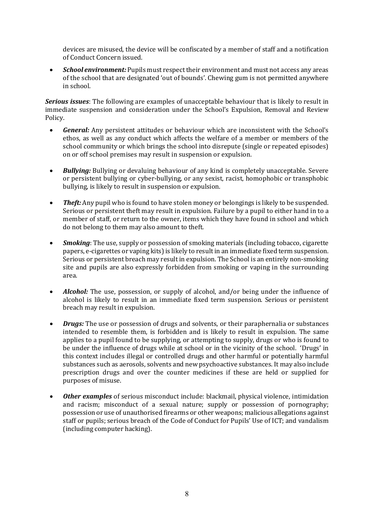devices are misused, the device will be confiscated by a member of staff and a notification of Conduct Concern issued.

• *School environment:* Pupils must respect their environment and must not access any areas of the school that are designated 'out of bounds'. Chewing gum is not permitted anywhere in school.

*Serious issues*: The following are examples of unacceptable behaviour that is likely to result in immediate suspension and consideration under the School's Expulsion, Removal and Review Policy.

- *General:* Any persistent attitudes or behaviour which are inconsistent with the School's ethos, as well as any conduct which affects the welfare of a member or members of the school community or which brings the school into disrepute (single or repeated episodes) on or off school premises may result in suspension or expulsion.
- *Bullying:* Bullying or devaluing behaviour of any kind is completely unacceptable. Severe or persistent bullying or cyber-bullying, or any sexist, racist, homophobic or transphobic bullying, is likely to result in suspension or expulsion.
- *Theft:* Any pupil who is found to have stolen money or belongings is likely to be suspended. Serious or persistent theft may result in expulsion. Failure by a pupil to either hand in to a member of staff, or return to the owner, items which they have found in school and which do not belong to them may also amount to theft.
- *Smoking*: The use, supply or possession of smoking materials (including tobacco, cigarette papers, e-cigarettes or vaping kits) is likely to result in an immediate fixed term suspension. Serious or persistent breach may result in expulsion. The School is an entirely non-smoking site and pupils are also expressly forbidden from smoking or vaping in the surrounding area.
- *Alcohol:* The use, possession, or supply of alcohol, and/or being under the influence of alcohol is likely to result in an immediate fixed term suspension. Serious or persistent breach may result in expulsion.
- *Drugs:* The use or possession of drugs and solvents, or their paraphernalia or substances intended to resemble them, is forbidden and is likely to result in expulsion. The same applies to a pupil found to be supplying, or attempting to supply, drugs or who is found to be under the influence of drugs while at school or in the vicinity of the school. 'Drugs' in this context includes illegal or controlled drugs and other harmful or potentially harmful substances such as aerosols, solvents and new psychoactive substances. It may also include prescription drugs and over the counter medicines if these are held or supplied for purposes of misuse.
- *Other examples* of serious misconduct include: blackmail, physical violence, intimidation and racism; misconduct of a sexual nature; supply or possession of pornography; possession or use of unauthorised firearms or other weapons; malicious allegations against staff or pupils; serious breach of the Code of Conduct for Pupils' Use of ICT; and vandalism (including computer hacking).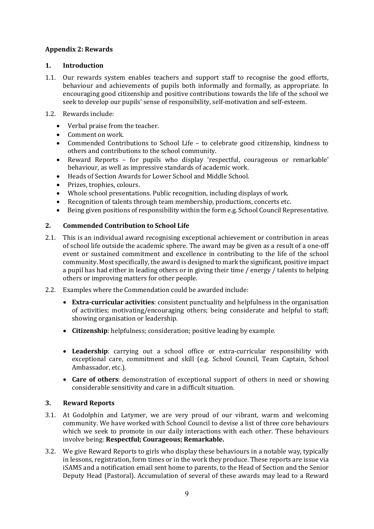## **Appendix 2: Rewards**

### **1. Introduction**

- 1.1. Our rewards system enables teachers and support staff to recognise the good efforts, behaviour and achievements of pupils both informally and formally, as appropriate. In encouraging good citizenship and positive contributions towards the life of the school we seek to develop our pupils' sense of responsibility, self-motivation and self-esteem.
- 1.2. Rewards include:
	- Verbal praise from the teacher.
	- Comment on work.
	- Commended Contributions to School Life to celebrate good citizenship, kindness to others and contributions to the school community.
	- Reward Reports for pupils who display 'respectful, courageous or remarkable' behaviour, as well as impressive standards of academic work.
	- Heads of Section Awards for Lower School and Middle School.
	- Prizes, trophies, colours.
	- Whole school presentations. Public recognition, including displays of work.
	- Recognition of talents through team membership, productions, concerts etc.
	- Being given positions of responsibility within the form e.g. School Council Representative.

#### **2. Commended Contribution to School Life**

- 2.1. This is an individual award recognising exceptional achievement or contribution in areas of school life outside the academic sphere. The award may be given as a result of a one-off event or sustained commitment and excellence in contributing to the life of the school community. Most specifically, the award is designed to mark the significant, positive impact a pupil has had either in leading others or in giving their time / energy / talents to helping others or improving matters for other people.
- 2.2. Examples where the Commendation could be awarded include:
	- **Extra-curricular activities**: consistent punctuality and helpfulness in the organisation of activities; motivating/encouraging others; being considerate and helpful to staff; showing organisation or leadership.
	- **Citizenship**: helpfulness; consideration; positive leading by example.
	- **Leadership**: carrying out a school office or extra-curricular responsibility with exceptional care, commitment and skill (e.g. School Council, Team Captain, School Ambassador, etc.).
	- **Care of others**: demonstration of exceptional support of others in need or showing considerable sensitivity and care in a difficult situation.

#### **3. Reward Reports**

- 3.1. At Godolphin and Latymer, we are very proud of our vibrant, warm and welcoming community. We have worked with School Council to devise a list of three core behaviours which we seek to promote in our daily interactions with each other. These behaviours involve being: **Respectful; Courageous; Remarkable.**
- 3.2. We give Reward Reports to girls who display these behaviours in a notable way, typically in lessons, registration, form times or in the work they produce. These reports are issue via iSAMS and a notification email sent home to parents, to the Head of Section and the Senior Deputy Head (Pastoral). Accumulation of several of these awards may lead to a Reward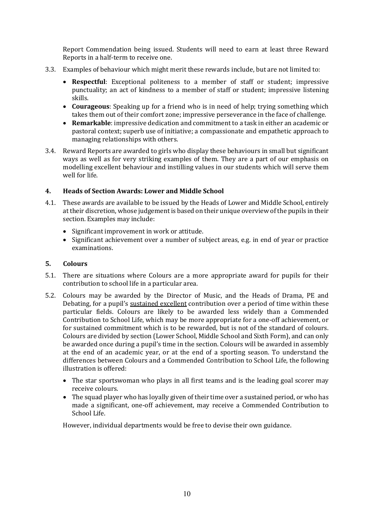Report Commendation being issued. Students will need to earn at least three Reward Reports in a half-term to receive one.

- 3.3. Examples of behaviour which might merit these rewards include, but are not limited to:
	- **Respectful**: Exceptional politeness to a member of staff or student; impressive punctuality; an act of kindness to a member of staff or student; impressive listening skills.
	- **Courageous**: Speaking up for a friend who is in need of help; trying something which takes them out of their comfort zone; impressive perseverance in the face of challenge.
	- **Remarkable**: impressive dedication and commitment to a task in either an academic or pastoral context; superb use of initiative; a compassionate and empathetic approach to managing relationships with others.
- 3.4. Reward Reports are awarded to girls who display these behaviours in small but significant ways as well as for very striking examples of them. They are a part of our emphasis on modelling excellent behaviour and instilling values in our students which will serve them well for life.

#### **4. Heads of Section Awards: Lower and Middle School**

- 4.1. These awards are available to be issued by the Heads of Lower and Middle School, entirely at their discretion, whose judgement is based on their unique overview of the pupils in their section. Examples may include:
	- Significant improvement in work or attitude.
	- Significant achievement over a number of subject areas, e.g. in end of year or practice examinations.

#### **5. Colours**

- 5.1. There are situations where Colours are a more appropriate award for pupils for their contribution to school life in a particular area.
- 5.2. Colours may be awarded by the Director of Music, and the Heads of Drama, PE and Debating, for a pupil's sustained excellent contribution over a period of time within these particular fields. Colours are likely to be awarded less widely than a Commended Contribution to School Life, which may be more appropriate for a one-off achievement, or for sustained commitment which is to be rewarded, but is not of the standard of colours. Colours are divided by section (Lower School, Middle School and Sixth Form), and can only be awarded once during a pupil's time in the section. Colours will be awarded in assembly at the end of an academic year, or at the end of a sporting season. To understand the differences between Colours and a Commended Contribution to School Life, the following illustration is offered:
	- The star sportswoman who plays in all first teams and is the leading goal scorer may receive colours.
	- The squad player who has loyally given of their time over a sustained period, or who has made a significant, one-off achievement, may receive a Commended Contribution to School Life.

However, individual departments would be free to devise their own guidance.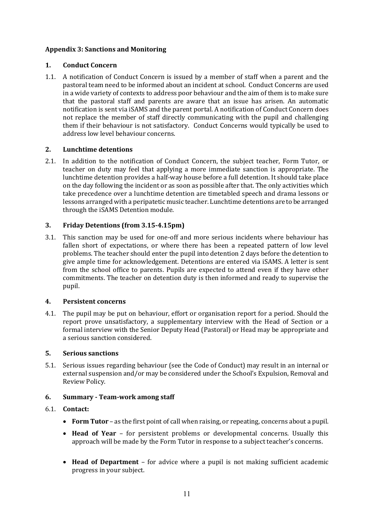## **Appendix 3: Sanctions and Monitoring**

### **1. Conduct Concern**

1.1. A notification of Conduct Concern is issued by a member of staff when a parent and the pastoral team need to be informed about an incident at school. Conduct Concerns are used in a wide variety of contexts to address poor behaviour and the aim of them is to make sure that the pastoral staff and parents are aware that an issue has arisen. An automatic notification is sent via iSAMS and the parent portal. A notification of Conduct Concern does not replace the member of staff directly communicating with the pupil and challenging them if their behaviour is not satisfactory. Conduct Concerns would typically be used to address low level behaviour concerns.

## **2. Lunchtime detentions**

2.1. In addition to the notification of Conduct Concern, the subject teacher, Form Tutor, or teacher on duty may feel that applying a more immediate sanction is appropriate. The lunchtime detention provides a half-way house before a full detention. It should take place on the day following the incident or as soon as possible after that. The only activities which take precedence over a lunchtime detention are timetabled speech and drama lessons or lessons arranged with a peripatetic music teacher. Lunchtime detentions are to be arranged through the iSAMS Detention module.

## **3. Friday Detentions (from 3.15-4.15pm)**

3.1. This sanction may be used for one-off and more serious incidents where behaviour has fallen short of expectations, or where there has been a repeated pattern of low level problems. The teacher should enter the pupil into detention 2 days before the detention to give ample time for acknowledgement. Detentions are entered via iSAMS. A letter is sent from the school office to parents. Pupils are expected to attend even if they have other commitments. The teacher on detention duty is then informed and ready to supervise the pupil.

#### **4. Persistent concerns**

4.1. The pupil may be put on behaviour, effort or organisation report for a period. Should the report prove unsatisfactory, a supplementary interview with the Head of Section or a formal interview with the Senior Deputy Head (Pastoral) or Head may be appropriate and a serious sanction considered.

#### **5. Serious sanctions**

5.1. Serious issues regarding behaviour (see the Code of Conduct) may result in an internal or external suspension and/or may be considered under the School's Expulsion, Removal and Review Policy.

#### **6. Summary - Team-work among staff**

#### 6.1. **Contact:**

- **Form Tutor** as the first point of call when raising, or repeating, concerns about a pupil.
- **Head of Year** for persistent problems or developmental concerns. Usually this approach will be made by the Form Tutor in response to a subject teacher's concerns.
- **Head of Department** for advice where a pupil is not making sufficient academic progress in your subject.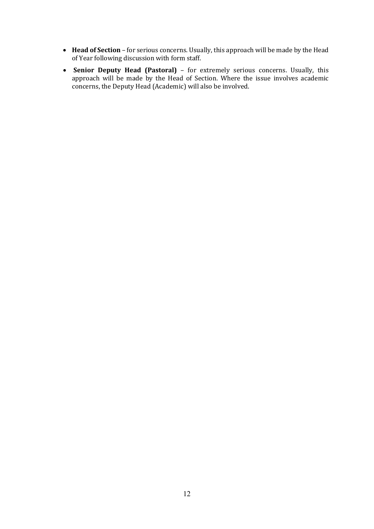- **Head of Section** for serious concerns. Usually, this approach will be made by the Head of Year following discussion with form staff.
- **Senior Deputy Head (Pastoral)** for extremely serious concerns. Usually, this approach will be made by the Head of Section. Where the issue involves academic concerns, the Deputy Head (Academic) will also be involved.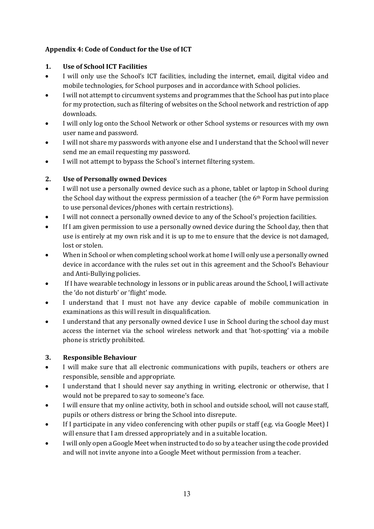# **Appendix 4: Code of Conduct for the Use of ICT**

# **1. Use of School ICT Facilities**

- I will only use the School's ICT facilities, including the internet, email, digital video and mobile technologies, for School purposes and in accordance with School policies.
- I will not attempt to circumvent systems and programmes that the School has put into place for my protection, such as filtering of websites on the School network and restriction of app downloads.
- I will only log onto the School Network or other School systems or resources with my own user name and password.
- I will not share my passwords with anyone else and I understand that the School will never send me an email requesting my password.
- I will not attempt to bypass the School's internet filtering system.

# **2. Use of Personally owned Devices**

- I will not use a personally owned device such as a phone, tablet or laptop in School during the School day without the express permission of a teacher (the  $6<sup>th</sup>$  Form have permission to use personal devices/phones with certain restrictions).
- I will not connect a personally owned device to any of the School's projection facilities.
- If I am given permission to use a personally owned device during the School day, then that use is entirely at my own risk and it is up to me to ensure that the device is not damaged, lost or stolen.
- When in School or when completing school work at home I will only use a personally owned device in accordance with the rules set out in this agreement and the School's Behaviour and Anti-Bullying policies.
- If I have wearable technology in lessons or in public areas around the School, I will activate the 'do not disturb' or 'flight' mode.
- I understand that I must not have any device capable of mobile communication in examinations as this will result in disqualification.
- I understand that any personally owned device I use in School during the school day must access the internet via the school wireless network and that 'hot-spotting' via a mobile phone is strictly prohibited.

# **3. Responsible Behaviour**

- I will make sure that all electronic communications with pupils, teachers or others are responsible, sensible and appropriate.
- I understand that I should never say anything in writing, electronic or otherwise, that I would not be prepared to say to someone's face.
- I will ensure that my online activity, both in school and outside school, will not cause staff, pupils or others distress or bring the School into disrepute.
- If I participate in any video conferencing with other pupils or staff (e.g. via Google Meet) I will ensure that I am dressed appropriately and in a suitable location.
- I will only open a Google Meet when instructed to do so by a teacher using the code provided and will not invite anyone into a Google Meet without permission from a teacher.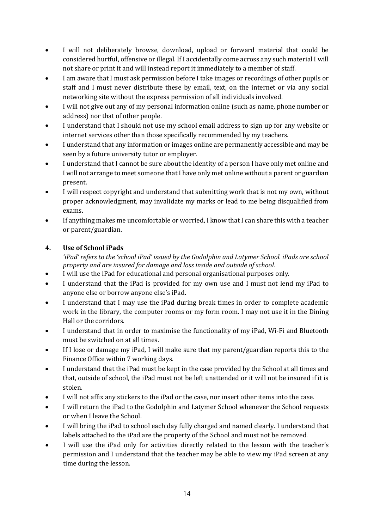- I will not deliberately browse, download, upload or forward material that could be considered hurtful, offensive or illegal. If I accidentally come across any such material I will not share or print it and will instead report it immediately to a member of staff.
- I am aware that I must ask permission before I take images or recordings of other pupils or staff and I must never distribute these by email, text, on the internet or via any social networking site without the express permission of all individuals involved.
- I will not give out any of my personal information online (such as name, phone number or address) nor that of other people.
- I understand that I should not use my school email address to sign up for any website or internet services other than those specifically recommended by my teachers.
- I understand that any information or images online are permanently accessible and may be seen by a future university tutor or employer.
- I understand that I cannot be sure about the identity of a person I have only met online and I will not arrange to meet someone that I have only met online without a parent or guardian present.
- I will respect copyright and understand that submitting work that is not my own, without proper acknowledgment, may invalidate my marks or lead to me being disqualified from exams.
- If anything makes me uncomfortable or worried, I know that I can share this with a teacher or parent/guardian.

# **4. Use of School iPads**

*'iPad' refers to the 'school iPad' issued by the Godolphin and Latymer School. iPads are school property and are insured for damage and loss inside and outside of school.* 

- I will use the iPad for educational and personal organisational purposes only.
- I understand that the iPad is provided for my own use and I must not lend my iPad to anyone else or borrow anyone else's iPad.
- I understand that I may use the iPad during break times in order to complete academic work in the library, the computer rooms or my form room. I may not use it in the Dining Hall or the corridors.
- I understand that in order to maximise the functionality of my iPad, Wi-Fi and Bluetooth must be switched on at all times.
- If I lose or damage my iPad, I will make sure that my parent/guardian reports this to the Finance Office within 7 working days.
- I understand that the iPad must be kept in the case provided by the School at all times and that, outside of school, the iPad must not be left unattended or it will not be insured if it is stolen.
- I will not affix any stickers to the iPad or the case, nor insert other items into the case.
- I will return the iPad to the Godolphin and Latymer School whenever the School requests or when I leave the School.
- I will bring the iPad to school each day fully charged and named clearly. I understand that labels attached to the iPad are the property of the School and must not be removed.
- I will use the iPad only for activities directly related to the lesson with the teacher's permission and I understand that the teacher may be able to view my iPad screen at any time during the lesson.